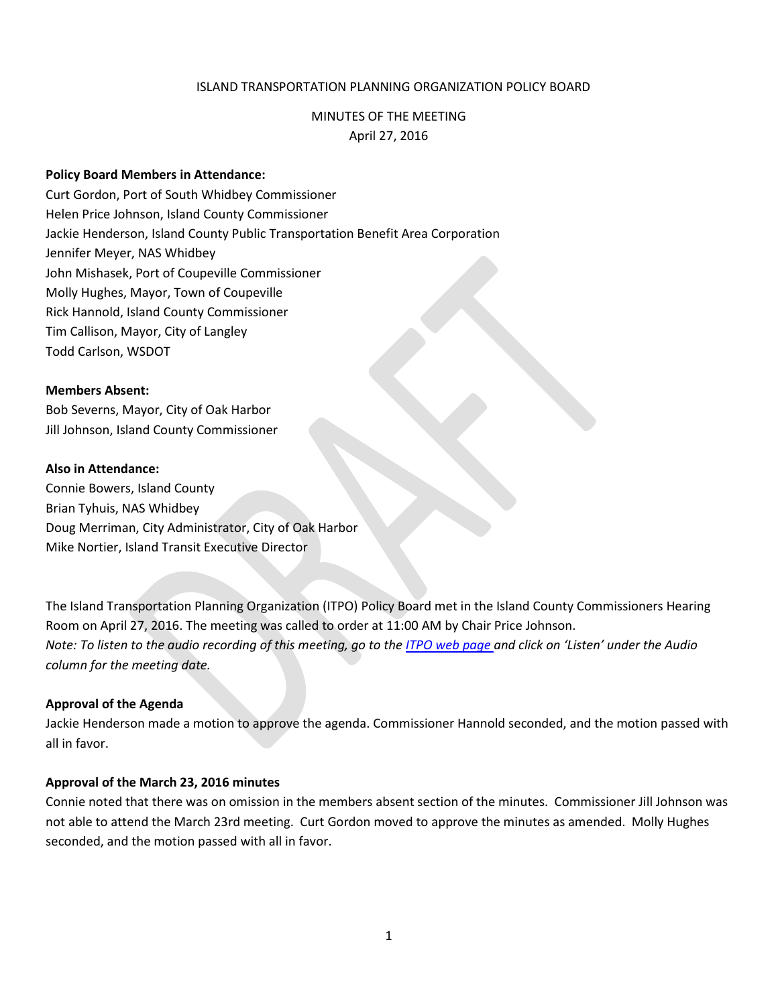## ISLAND TRANSPORTATION PLANNING ORGANIZATION POLICY BOARD

# MINUTES OF THE MEETING April 27, 2016

### **Policy Board Members in Attendance:**

Curt Gordon, Port of South Whidbey Commissioner Helen Price Johnson, Island County Commissioner Jackie Henderson, Island County Public Transportation Benefit Area Corporation Jennifer Meyer, NAS Whidbey John Mishasek, Port of Coupeville Commissioner Molly Hughes, Mayor, Town of Coupeville Rick Hannold, Island County Commissioner Tim Callison, Mayor, City of Langley Todd Carlson, WSDOT

### **Members Absent:**

Bob Severns, Mayor, City of Oak Harbor Jill Johnson, Island County Commissioner

### **Also in Attendance:**

Connie Bowers, Island County Brian Tyhuis, NAS Whidbey Doug Merriman, City Administrator, City of Oak Harbor Mike Nortier, Island Transit Executive Director

The Island Transportation Planning Organization (ITPO) Policy Board met in the Island County Commissioners Hearing Room on April 27, 2016. The meeting was called to order at 11:00 AM by Chair Price Johnson. *Note: To listen to the audio recording of this meeting, go to the [ITPO web page a](https://www.islandcountywa.gov/PublicWorks/Roads/Planning/Pages/Itpominutesandagendas.aspx)nd click on 'Listen' under the Audio column for the meeting date.*

### **Approval of the Agenda**

Jackie Henderson made a motion to approve the agenda. Commissioner Hannold seconded, and the motion passed with all in favor.

### **Approval of the March 23, 2016 minutes**

Connie noted that there was on omission in the members absent section of the minutes. Commissioner Jill Johnson was not able to attend the March 23rd meeting. Curt Gordon moved to approve the minutes as amended. Molly Hughes seconded, and the motion passed with all in favor.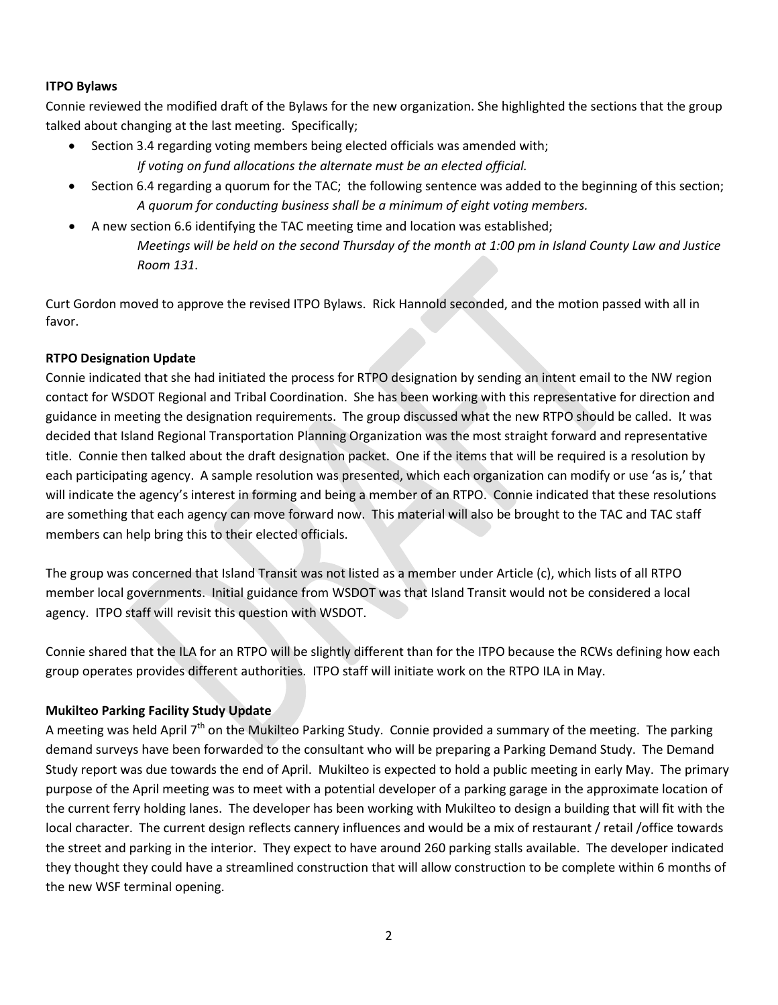# **ITPO Bylaws**

Connie reviewed the modified draft of the Bylaws for the new organization. She highlighted the sections that the group talked about changing at the last meeting. Specifically;

- Section 3.4 regarding voting members being elected officials was amended with; *If voting on fund allocations the alternate must be an elected official.*
- Section 6.4 regarding a quorum for the TAC; the following sentence was added to the beginning of this section; *A quorum for conducting business shall be a minimum of eight voting members.*
- A new section 6.6 identifying the TAC meeting time and location was established; *Meetings will be held on the second Thursday of the month at 1:00 pm in Island County Law and Justice Room 131*.

Curt Gordon moved to approve the revised ITPO Bylaws. Rick Hannold seconded, and the motion passed with all in favor.

## **RTPO Designation Update**

Connie indicated that she had initiated the process for RTPO designation by sending an intent email to the NW region contact for WSDOT Regional and Tribal Coordination. She has been working with this representative for direction and guidance in meeting the designation requirements. The group discussed what the new RTPO should be called. It was decided that Island Regional Transportation Planning Organization was the most straight forward and representative title. Connie then talked about the draft designation packet. One if the items that will be required is a resolution by each participating agency. A sample resolution was presented, which each organization can modify or use 'as is,' that will indicate the agency's interest in forming and being a member of an RTPO. Connie indicated that these resolutions are something that each agency can move forward now. This material will also be brought to the TAC and TAC staff members can help bring this to their elected officials.

The group was concerned that Island Transit was not listed as a member under Article (c), which lists of all RTPO member local governments. Initial guidance from WSDOT was that Island Transit would not be considered a local agency. ITPO staff will revisit this question with WSDOT.

Connie shared that the ILA for an RTPO will be slightly different than for the ITPO because the RCWs defining how each group operates provides different authorities. ITPO staff will initiate work on the RTPO ILA in May.

# **Mukilteo Parking Facility Study Update**

A meeting was held April  $7<sup>th</sup>$  on the Mukilteo Parking Study. Connie provided a summary of the meeting. The parking demand surveys have been forwarded to the consultant who will be preparing a Parking Demand Study. The Demand Study report was due towards the end of April. Mukilteo is expected to hold a public meeting in early May. The primary purpose of the April meeting was to meet with a potential developer of a parking garage in the approximate location of the current ferry holding lanes. The developer has been working with Mukilteo to design a building that will fit with the local character. The current design reflects cannery influences and would be a mix of restaurant / retail /office towards the street and parking in the interior. They expect to have around 260 parking stalls available. The developer indicated they thought they could have a streamlined construction that will allow construction to be complete within 6 months of the new WSF terminal opening.